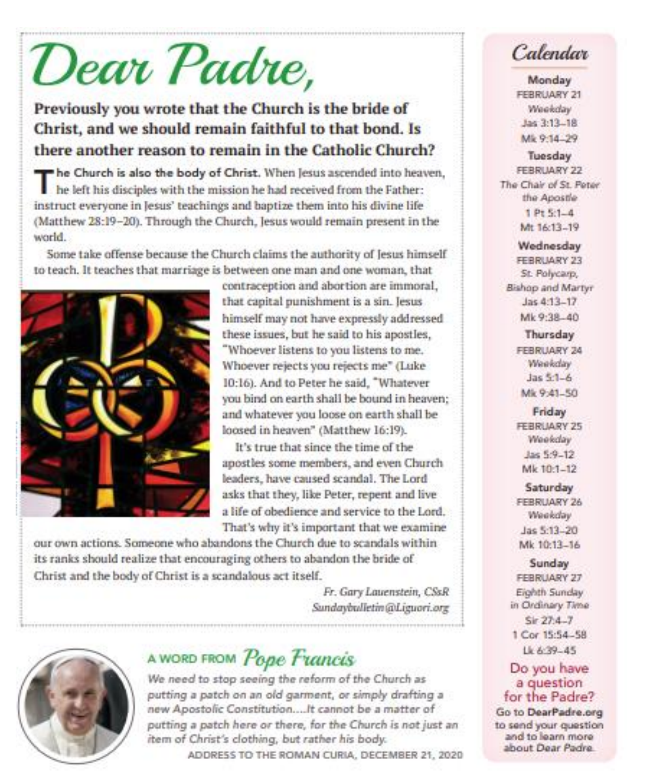# Dear Padre,

## Previously you wrote that the Church is the bride of Christ, and we should remain faithful to that bond. Is there another reason to remain in the Catholic Church?

The Church is also the body of Christ. When Jesus ascended into heaven, he left his disciples with the mission he had received from the Father: instruct everyone in Jesus' teachings and baptize them into his divine life (Matthew 28:19-20). Through the Church, Jesus would remain present in the world.

Some take offense because the Church claims the authority of Jesus himself to teach. It teaches that marriage is between one man and one woman, that



contraception and abortion are immoral. that capital punishment is a sin. Jesus himself may not have expressly addressed these issues, but he said to his apostles, "Whoever listens to you listens to me. Whoever rejects you rejects me" (Luke 10:16). And to Peter he said. "Whatever you bind on earth shall be bound in heaven: and whatever you loose on earth shall be loosed in heaven" (Matthew 16:19).

It's true that since the time of the apostles some members, and even Church leaders, have caused scandal. The Lord asks that they, like Peter, repent and live a life of obedience and service to the Lord. That's why it's important that we examine

our own actions. Someone who abandons the Church due to scandals within its ranks should realize that encouraging others to abandon the bride of Christ and the body of Christ is a scandalous act itself.

> Fr. Gary Lauenstein, CSsR Sundaybulletin@Liguori.org



# A WORD FROM Pope Francis

We need to stop seeing the reform of the Church as putting a patch on an old garment, or simply drafting a new Apostolic Constitution....It cannot be a matter of putting a patch here or there, for the Church is not just an item of Christ's clothing, but rather his body. ADDRESS TO THE ROMAN CURIA, DECEMBER 21, 2020

# Calendar

Monday FEBRUARY 21 Weekday Jas 3:13-18 Mk 9:14.29

Tuesday FERRI IARY 22 The Chair of St. Peter the Apostle  $1Pt5:1-4$ Mr 14:13.19

Wednesday FEBRUARY 23 St. Polycarp. Bishop and Martyr Jas 4:13-17 Mk 9:38-40

> Thursday FEBRUARY 24 Weekday  $Jac 51 - 6$ Mk 9:41-50

Friday **FEBRUARY 25** Weekday Jas 5:9-12 Mk 10:1-12

Saturday FEBRUARY 26 Weekday Jas 5:13-20 Mk 10:13-16

Sunday FEBRUARY 27 Eighth Sunday in Ordinary Time  $Sir 27:4 - 7$ 1 Cor 15:54-58 18.639-45

#### Do you have a question for the Padre?

Go to DearPadre.org to send your question and to learn more about Dear Padre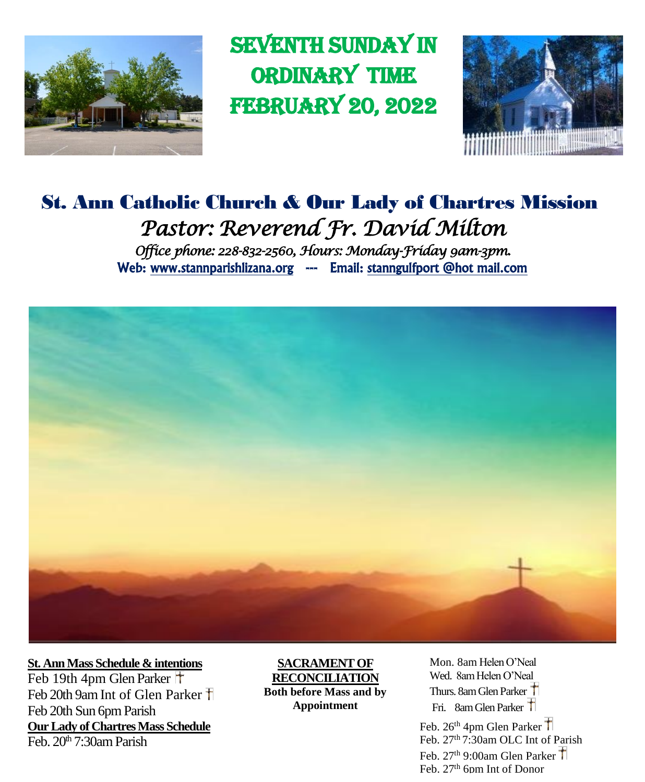

**SEVENTH SUNDAY IN** ordinary time **FEBRUARY 20, 2022** 



# St. Ann Catholic Church & Our Lady of Chartres Mission *Pastor: Reverend Fr. David Milton Office phone: 228-832-2560, Hours: Monday-Friday 9am-3pm.*  Web: www.stannparishlizana.org --- Email: stanngulfport @hot mail.com



**St. Ann Mass Schedule & intentions** Feb 19th 4pm Glen Parker Feb 20th 9am Int of Glen Parker T Feb 20th Sun 6pm Parish **Our Lady of Chartres Mass Schedule** Feb.  $20<sup>th</sup> 7.30$ am Parish

**SACRAMENT OF RECONCILIATION Both before Mass and by Appointment**

Mon. 8am Helen O'Neal Wed. 8am Helen O'Neal Thurs. 8am Glen Parker Fri. 8am Glen Parker

Feb. 26<sup>th</sup> 4pm Glen Parker Feb. 27<sup>th</sup> 7:30am OLC Int of Parish Feb.  $27<sup>th</sup>$  9:00am Glen Parker  $\uparrow$ Feb. 27<sup>th</sup> 6pm Int of Donor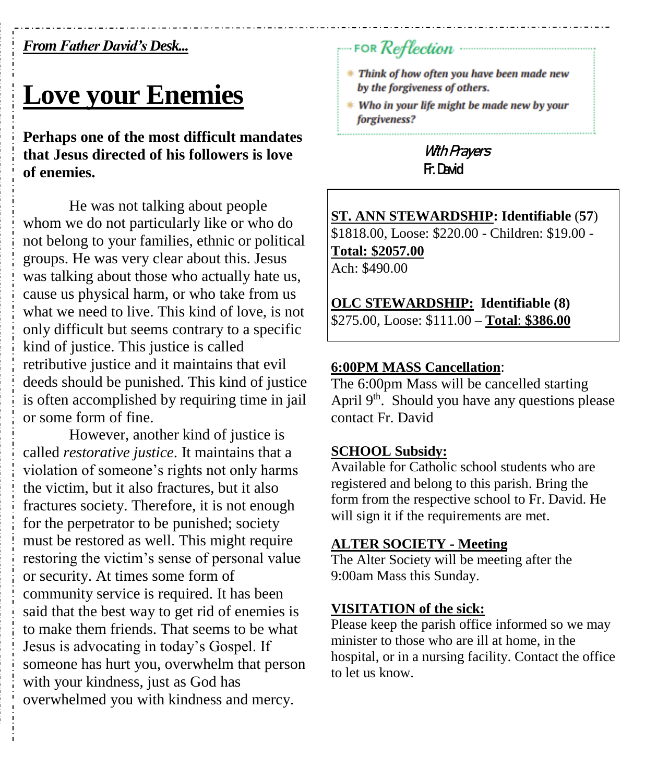### *From Father David's Desk...*

# **Love your Enemies**

**Perhaps one of the most difficult mandates that Jesus directed of his followers is love of enemies.**

He was not talking about people whom we do not particularly like or who do not belong to your families, ethnic or political groups. He was very clear about this. Jesus was talking about those who actually hate us, cause us physical harm, or who take from us what we need to live. This kind of love, is not only difficult but seems contrary to a specific kind of justice. This justice is called retributive justice and it maintains that evil deeds should be punished. This kind of justice is often accomplished by requiring time in jail or some form of fine.

However, another kind of justice is called *restorative justice*. It maintains that a violation of someone's rights not only harms the victim, but it also fractures, but it also fractures society. Therefore, it is not enough for the perpetrator to be punished; society must be restored as well. This might require restoring the victim's sense of personal value or security. At times some form of community service is required. It has been said that the best way to get rid of enemies is to make them friends. That seems to be what Jesus is advocating in today's Gospel. If someone has hurt you, overwhelm that person with your kindness, just as God has overwhelmed you with kindness and mercy.

# FOR Reflection

- \* Think of how often you have been made new by the forgiveness of others.
- \* Who in your life might be made new by your forgiveness?

**With Prayers Fr. David**

**ST. ANN STEWARDSHIP: Identifiable** (**57**) \$1818.00, Loose: \$220.00 - Children: \$19.00 - **Total: \$2057.00** Ach: \$490.00

**OLC STEWARDSHIP: Identifiable (8)** \$275.00, Loose: \$111.00 – **Total**: **\$386.00**

#### **6:00PM MASS Cancellation**:

The 6:00pm Mass will be cancelled starting April  $9<sup>th</sup>$ . Should you have any questions please contact Fr. David

#### **SCHOOL Subsidy:**

Available for Catholic school students who are registered and belong to this parish. Bring the form from the respective school to Fr. David. He will sign it if the requirements are met.

#### **ALTER SOCIETY - Meeting**

The Alter Society will be meeting after the 9:00am Mass this Sunday.

#### **VISITATION of the sick:**

Please keep the parish office informed so we may minister to those who are ill at home, in the hospital, or in a nursing facility. Contact the office to let us know.